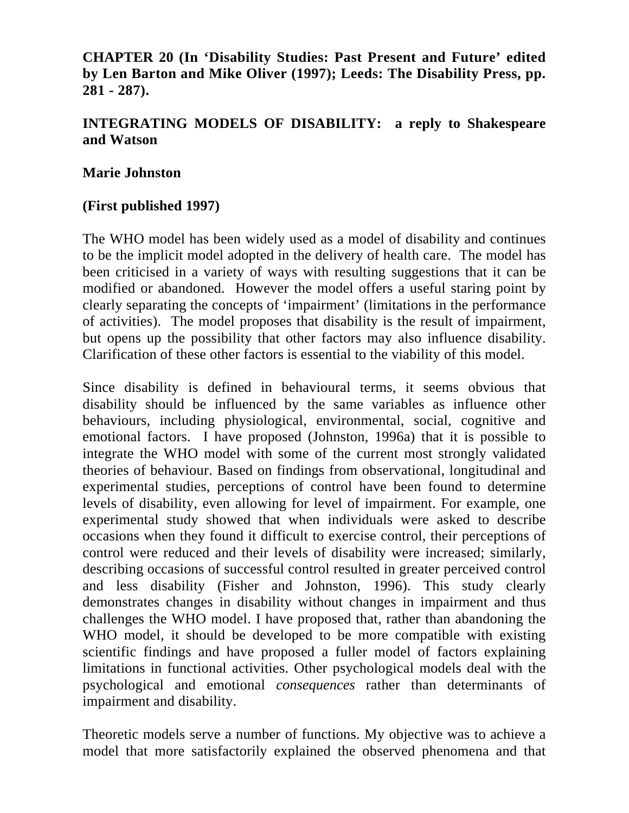# **CHAPTER 20 (In 'Disability Studies: Past Present and Future' edited by Len Barton and Mike Oliver (1997); Leeds: The Disability Press, pp. 281 - 287).**

# **INTEGRATING MODELS OF DISABILITY: a reply to Shakespeare and Watson**

#### **Marie Johnston**

### **(First published 1997)**

The WHO model has been widely used as a model of disability and continues to be the implicit model adopted in the delivery of health care. The model has been criticised in a variety of ways with resulting suggestions that it can be modified or abandoned. However the model offers a useful staring point by clearly separating the concepts of 'impairment' (limitations in the performance of activities). The model proposes that disability is the result of impairment, but opens up the possibility that other factors may also influence disability. Clarification of these other factors is essential to the viability of this model.

Since disability is defined in behavioural terms, it seems obvious that disability should be influenced by the same variables as influence other behaviours, including physiological, environmental, social, cognitive and emotional factors. I have proposed (Johnston, 1996a) that it is possible to integrate the WHO model with some of the current most strongly validated theories of behaviour. Based on findings from observational, longitudinal and experimental studies, perceptions of control have been found to determine levels of disability, even allowing for level of impairment. For example, one experimental study showed that when individuals were asked to describe occasions when they found it difficult to exercise control, their perceptions of control were reduced and their levels of disability were increased; similarly, describing occasions of successful control resulted in greater perceived control and less disability (Fisher and Johnston, 1996). This study clearly demonstrates changes in disability without changes in impairment and thus challenges the WHO model. I have proposed that, rather than abandoning the WHO model, it should be developed to be more compatible with existing scientific findings and have proposed a fuller model of factors explaining limitations in functional activities. Other psychological models deal with the psychological and emotional *consequences* rather than determinants of impairment and disability.

Theoretic models serve a number of functions. My objective was to achieve a model that more satisfactorily explained the observed phenomena and that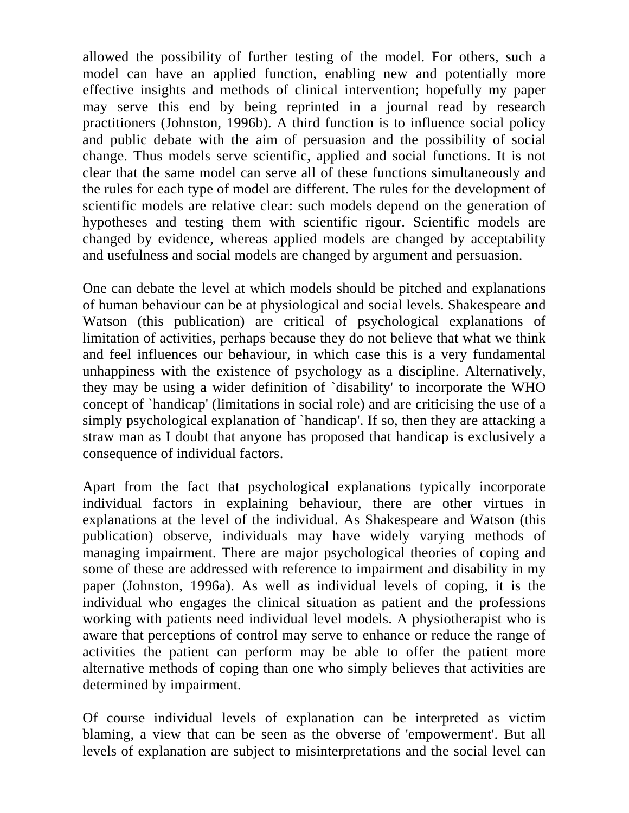allowed the possibility of further testing of the model. For others, such a model can have an applied function, enabling new and potentially more effective insights and methods of clinical intervention; hopefully my paper may serve this end by being reprinted in a journal read by research practitioners (Johnston, 1996b). A third function is to influence social policy and public debate with the aim of persuasion and the possibility of social change. Thus models serve scientific, applied and social functions. It is not clear that the same model can serve all of these functions simultaneously and the rules for each type of model are different. The rules for the development of scientific models are relative clear: such models depend on the generation of hypotheses and testing them with scientific rigour. Scientific models are changed by evidence, whereas applied models are changed by acceptability and usefulness and social models are changed by argument and persuasion.

One can debate the level at which models should be pitched and explanations of human behaviour can be at physiological and social levels. Shakespeare and Watson (this publication) are critical of psychological explanations of limitation of activities, perhaps because they do not believe that what we think and feel influences our behaviour, in which case this is a very fundamental unhappiness with the existence of psychology as a discipline. Alternatively, they may be using a wider definition of `disability' to incorporate the WHO concept of `handicap' (limitations in social role) and are criticising the use of a simply psychological explanation of `handicap'. If so, then they are attacking a straw man as I doubt that anyone has proposed that handicap is exclusively a consequence of individual factors.

Apart from the fact that psychological explanations typically incorporate individual factors in explaining behaviour, there are other virtues in explanations at the level of the individual. As Shakespeare and Watson (this publication) observe, individuals may have widely varying methods of managing impairment. There are major psychological theories of coping and some of these are addressed with reference to impairment and disability in my paper (Johnston, 1996a). As well as individual levels of coping, it is the individual who engages the clinical situation as patient and the professions working with patients need individual level models. A physiotherapist who is aware that perceptions of control may serve to enhance or reduce the range of activities the patient can perform may be able to offer the patient more alternative methods of coping than one who simply believes that activities are determined by impairment.

Of course individual levels of explanation can be interpreted as victim blaming, a view that can be seen as the obverse of 'empowerment'. But all levels of explanation are subject to misinterpretations and the social level can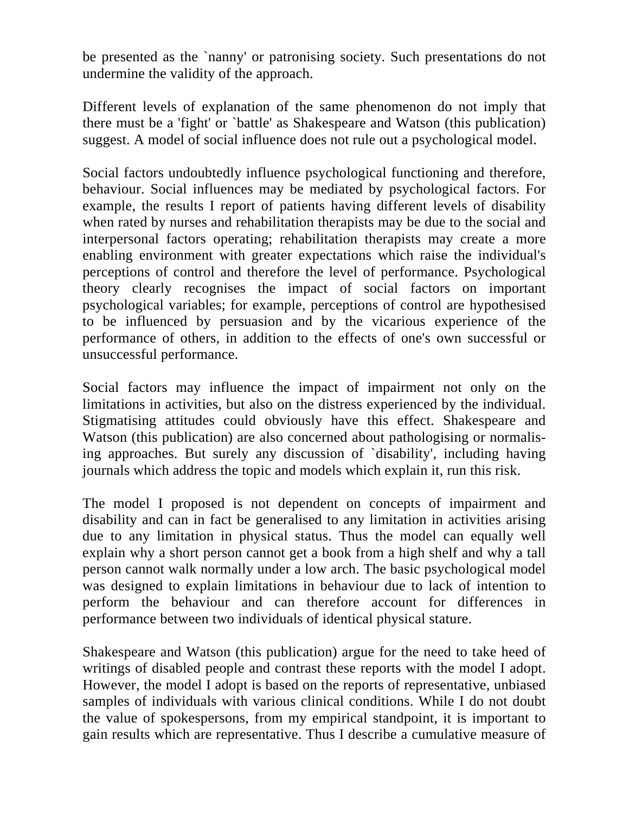be presented as the `nanny' or patronising society. Such presentations do not undermine the validity of the approach.

Different levels of explanation of the same phenomenon do not imply that there must be a 'fight' or `battle' as Shakespeare and Watson (this publication) suggest. A model of social influence does not rule out a psychological model.

Social factors undoubtedly influence psychological functioning and therefore, behaviour. Social influences may be mediated by psychological factors. For example, the results I report of patients having different levels of disability when rated by nurses and rehabilitation therapists may be due to the social and interpersonal factors operating; rehabilitation therapists may create a more enabling environment with greater expectations which raise the individual's perceptions of control and therefore the level of performance. Psychological theory clearly recognises the impact of social factors on important psychological variables; for example, perceptions of control are hypothesised to be influenced by persuasion and by the vicarious experience of the performance of others, in addition to the effects of one's own successful or unsuccessful performance.

Social factors may influence the impact of impairment not only on the limitations in activities, but also on the distress experienced by the individual. Stigmatising attitudes could obviously have this effect. Shakespeare and Watson (this publication) are also concerned about pathologising or normalising approaches. But surely any discussion of `disability', including having journals which address the topic and models which explain it, run this risk.

The model I proposed is not dependent on concepts of impairment and disability and can in fact be generalised to any limitation in activities arising due to any limitation in physical status. Thus the model can equally well explain why a short person cannot get a book from a high shelf and why a tall person cannot walk normally under a low arch. The basic psychological model was designed to explain limitations in behaviour due to lack of intention to perform the behaviour and can therefore account for differences in performance between two individuals of identical physical stature.

Shakespeare and Watson (this publication) argue for the need to take heed of writings of disabled people and contrast these reports with the model I adopt. However, the model I adopt is based on the reports of representative, unbiased samples of individuals with various clinical conditions. While I do not doubt the value of spokespersons, from my empirical standpoint, it is important to gain results which are representative. Thus I describe a cumulative measure of